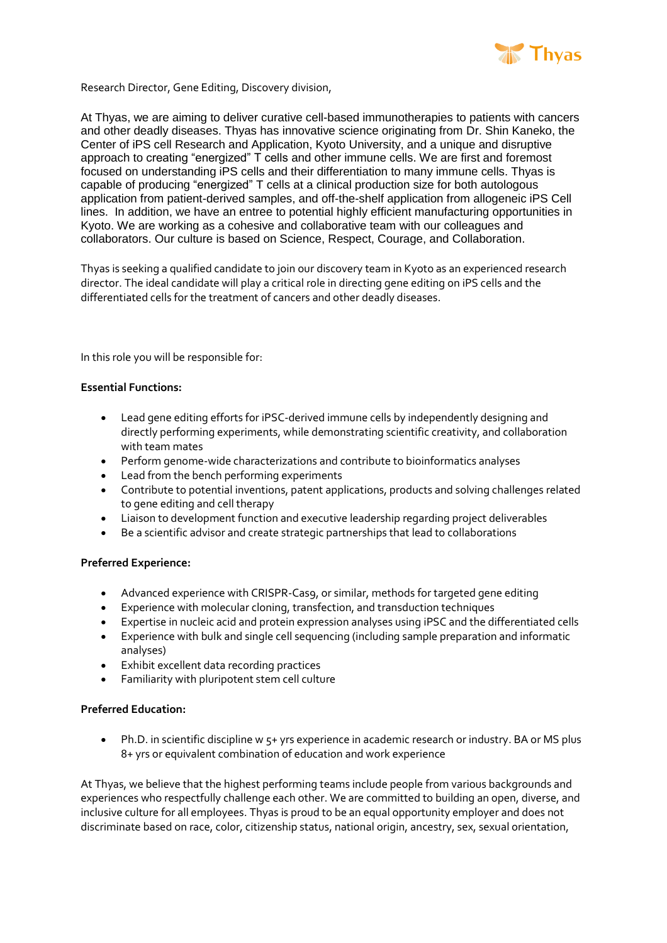

Research Director, Gene Editing, Discovery division,

At Thyas, we are aiming to deliver curative cell-based immunotherapies to patients with cancers and other deadly diseases. Thyas has innovative science originating from Dr. Shin Kaneko, the Center of iPS cell Research and Application, Kyoto University, and a unique and disruptive approach to creating "energized" T cells and other immune cells. We are first and foremost focused on understanding iPS cells and their differentiation to many immune cells. Thyas is capable of producing "energized" T cells at a clinical production size for both autologous application from patient-derived samples, and off-the-shelf application from allogeneic iPS Cell lines. In addition, we have an entree to potential highly efficient manufacturing opportunities in Kyoto. We are working as a cohesive and collaborative team with our colleagues and collaborators. Our culture is based on Science, Respect, Courage, and Collaboration.

Thyas is seeking a qualified candidate to join our discovery team in Kyoto as an experienced research director. The ideal candidate will play a critical role in directing gene editing on iPS cells and the differentiated cells for the treatment of cancers and other deadly diseases.

In this role you will be responsible for:

## **Essential Functions:**

- Lead gene editing efforts for iPSC-derived immune cells by independently designing and directly performing experiments, while demonstrating scientific creativity, and collaboration with team mates
- Perform genome-wide characterizations and contribute to bioinformatics analyses
- Lead from the bench performing experiments
- Contribute to potential inventions, patent applications, products and solving challenges related to gene editing and cell therapy
- Liaison to development function and executive leadership regarding project deliverables
- Be a scientific advisor and create strategic partnerships that lead to collaborations

## **Preferred Experience:**

- Advanced experience with CRISPR-Cas9, or similar, methods for targeted gene editing
- Experience with molecular cloning, transfection, and transduction techniques<br>• Expertise in nucleic acid and protein expression analyses using iPSC and the di
- Expertise in nucleic acid and protein expression analyses using iPSC and the differentiated cells
- Experience with bulk and single cell sequencing (including sample preparation and informatic analyses)
- Exhibit excellent data recording practices
- Familiarity with pluripotent stem cell culture

## **Preferred Education:**

• Ph.D. in scientific discipline w 5+ yrs experience in academic research or industry. BA or MS plus 8+ yrs or equivalent combination of education and work experience

At Thyas, we believe that the highest performing teams include people from various backgrounds and experiences who respectfully challenge each other. We are committed to building an open, diverse, and inclusive culture for all employees. Thyas is proud to be an equal opportunity employer and does not discriminate based on race, color, citizenship status, national origin, ancestry, sex, sexual orientation,